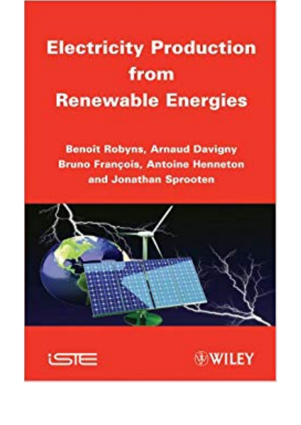## **Electricity Production** from **Renewable Energies**

**Benoit Robyns, Arnaud Davigny Bruno François, Antoine Henneton** and Jonathan Sprooten





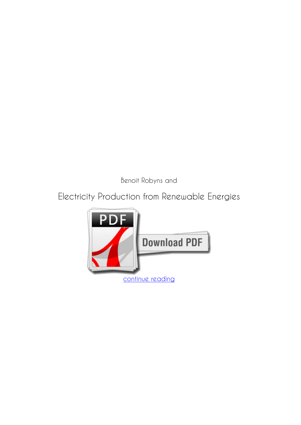*Benoit Robyns and*

## **Electricity Production from Renewable Energies**

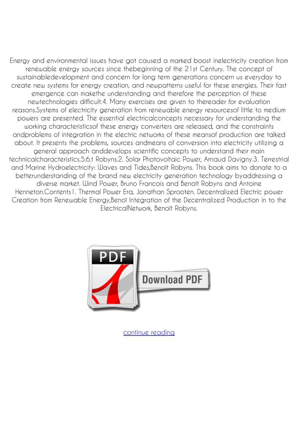Energy and environmental issues have got caused a marked boost inelectricity creation from renewable energy sources since thebeginning of the 21st Century. The concept of sustainabledevelopment and concern for long term generations concern us everyday to create new systems for energy creation, and newpatterns useful for these energies. Their fast emergence can makethe understanding and therefore the perception of these newtechnologies difficult.4. Many exercises are given to thereader for evaluation reasons.Systems of electricity generation from renewable energy resourcesof little to medium powers are presented. The essential electricalconcepts necessary for understanding the working characteristicsof these energy converters are released, and the constraints andproblems of integration in the electric networks of these meansof production are talked about. It presents the problems, sources andmeans of conversion into electricity utilizing a general approach anddevelops scientific concepts to understand their main technicalcharacteristics.5.6.t Robyns.2. Solar Photovoltaic Power, Arnaud Davigny.3. Terrestrial and Marine Hydroelectricity: Waves and Tides,Benoît Robyns. This book aims to donate to a betterunderstanding of the brand new electricity generation technology byaddressing a diverse market. Wind Power, Bruno Francois and Benoît Robyns and Antoine Henneton.Contents1. Thermal Power Era, Jonathan Sprooten. Decentralized Electric power Creation from Renewable Energy,Benoî Integration of the Decentralized Production in to the ElectricalNetwork, Benoît Robyns.



[continue reading](http://bit.ly/2Tge8Fv)